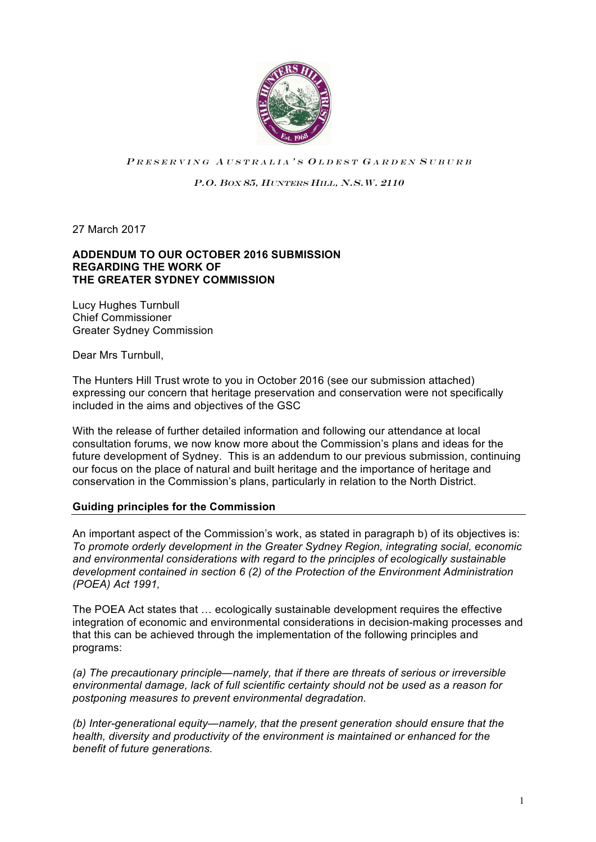

PRESERVING AUSTRALIA'S OLDEST GARDEN SUBURB

P.O. BOX 85, HUNTERS HILL, N.S.W. 2110

27 March 2017

#### **ADDENDUM TO OUR OCTOBER 2016 SUBMISSION REGARDING THE WORK OF THE GREATER SYDNEY COMMISSION**

Lucy Hughes Turnbull Chief Commissioner Greater Sydney Commission

Dear Mrs Turnbull,

The Hunters Hill Trust wrote to you in October 2016 (see our submission attached) expressing our concern that heritage preservation and conservation were not specifically included in the aims and objectives of the GSC

With the release of further detailed information and following our attendance at local consultation forums, we now know more about the Commission's plans and ideas for the future development of Sydney. This is an addendum to our previous submission, continuing our focus on the place of natural and built heritage and the importance of heritage and conservation in the Commission's plans, particularly in relation to the North District.

# **Guiding principles for the Commission**

An important aspect of the Commission's work, as stated in paragraph b) of its objectives is: *To promote orderly development in the Greater Sydney Region, integrating social, economic and environmental considerations with regard to the principles of ecologically sustainable development contained in section 6 (2) of the Protection of the Environment Administration (POEA) Act 1991,* 

The POEA Act states that … ecologically sustainable development requires the effective integration of economic and environmental considerations in decision-making processes and that this can be achieved through the implementation of the following principles and programs:

*(a) The precautionary principle—namely, that if there are threats of serious or irreversible environmental damage, lack of full scientific certainty should not be used as a reason for postponing measures to prevent environmental degradation.* 

*(b) Inter-generational equity—namely, that the present generation should ensure that the health, diversity and productivity of the environment is maintained or enhanced for the benefit of future generations.*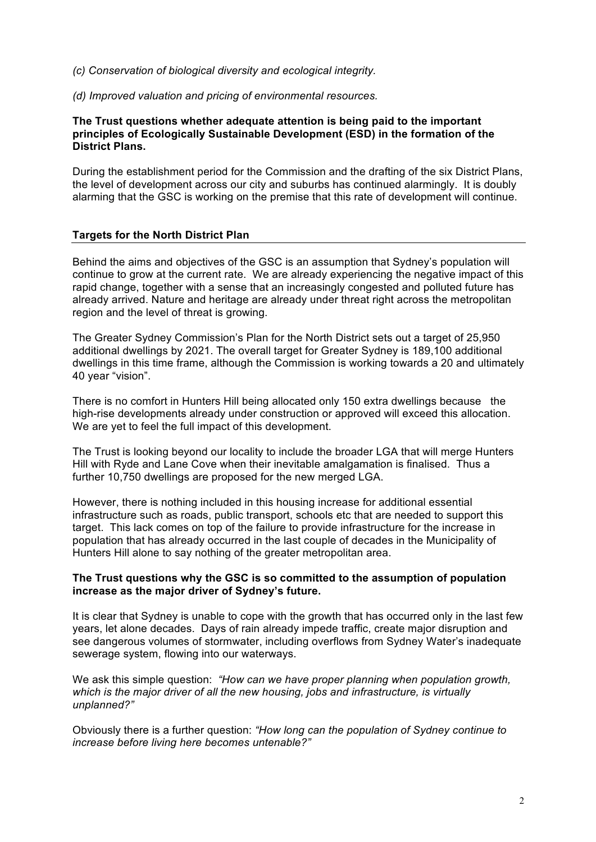*(c) Conservation of biological diversity and ecological integrity.* 

*(d) Improved valuation and pricing of environmental resources.*

### **The Trust questions whether adequate attention is being paid to the important principles of Ecologically Sustainable Development (ESD) in the formation of the District Plans.**

During the establishment period for the Commission and the drafting of the six District Plans, the level of development across our city and suburbs has continued alarmingly. It is doubly alarming that the GSC is working on the premise that this rate of development will continue.

# **Targets for the North District Plan**

Behind the aims and objectives of the GSC is an assumption that Sydney's population will continue to grow at the current rate. We are already experiencing the negative impact of this rapid change, together with a sense that an increasingly congested and polluted future has already arrived. Nature and heritage are already under threat right across the metropolitan region and the level of threat is growing.

The Greater Sydney Commission's Plan for the North District sets out a target of 25,950 additional dwellings by 2021. The overall target for Greater Sydney is 189,100 additional dwellings in this time frame, although the Commission is working towards a 20 and ultimately 40 year "vision".

There is no comfort in Hunters Hill being allocated only 150 extra dwellings because the high-rise developments already under construction or approved will exceed this allocation. We are yet to feel the full impact of this development.

The Trust is looking beyond our locality to include the broader LGA that will merge Hunters Hill with Ryde and Lane Cove when their inevitable amalgamation is finalised. Thus a further 10,750 dwellings are proposed for the new merged LGA.

However, there is nothing included in this housing increase for additional essential infrastructure such as roads, public transport, schools etc that are needed to support this target. This lack comes on top of the failure to provide infrastructure for the increase in population that has already occurred in the last couple of decades in the Municipality of Hunters Hill alone to say nothing of the greater metropolitan area.

### **The Trust questions why the GSC is so committed to the assumption of population increase as the major driver of Sydney's future.**

It is clear that Sydney is unable to cope with the growth that has occurred only in the last few years, let alone decades. Days of rain already impede traffic, create major disruption and see dangerous volumes of stormwater, including overflows from Sydney Water's inadequate sewerage system, flowing into our waterways.

We ask this simple question: *"How can we have proper planning when population growth, which is the major driver of all the new housing, jobs and infrastructure, is virtually unplanned?"* 

Obviously there is a further question: *"How long can the population of Sydney continue to increase before living here becomes untenable?"*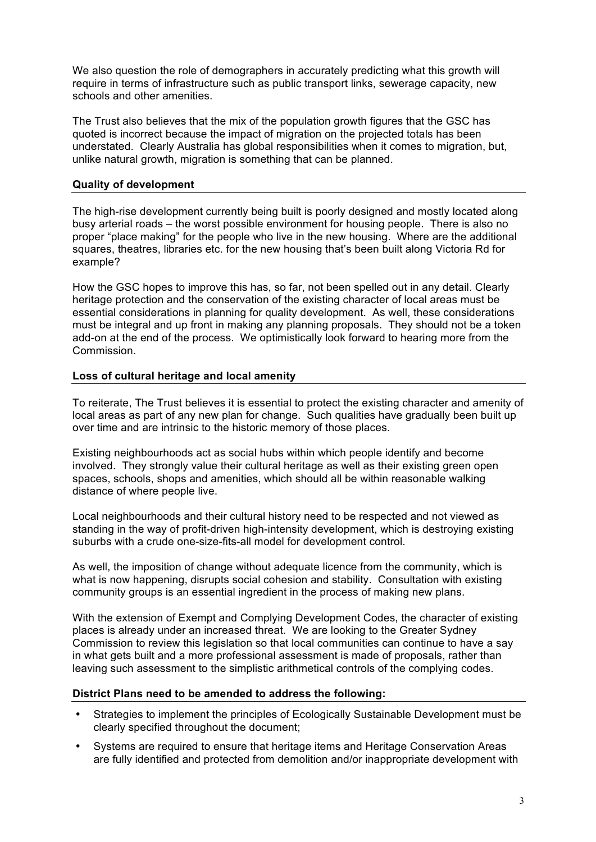We also question the role of demographers in accurately predicting what this growth will require in terms of infrastructure such as public transport links, sewerage capacity, new schools and other amenities.

The Trust also believes that the mix of the population growth figures that the GSC has quoted is incorrect because the impact of migration on the projected totals has been understated. Clearly Australia has global responsibilities when it comes to migration, but, unlike natural growth, migration is something that can be planned.

## **Quality of development**

The high-rise development currently being built is poorly designed and mostly located along busy arterial roads – the worst possible environment for housing people. There is also no proper "place making" for the people who live in the new housing. Where are the additional squares, theatres, libraries etc. for the new housing that's been built along Victoria Rd for example?

How the GSC hopes to improve this has, so far, not been spelled out in any detail. Clearly heritage protection and the conservation of the existing character of local areas must be essential considerations in planning for quality development. As well, these considerations must be integral and up front in making any planning proposals. They should not be a token add-on at the end of the process. We optimistically look forward to hearing more from the Commission.

#### **Loss of cultural heritage and local amenity**

To reiterate, The Trust believes it is essential to protect the existing character and amenity of local areas as part of any new plan for change. Such qualities have gradually been built up over time and are intrinsic to the historic memory of those places.

Existing neighbourhoods act as social hubs within which people identify and become involved. They strongly value their cultural heritage as well as their existing green open spaces, schools, shops and amenities, which should all be within reasonable walking distance of where people live.

Local neighbourhoods and their cultural history need to be respected and not viewed as standing in the way of profit-driven high-intensity development, which is destroying existing suburbs with a crude one-size-fits-all model for development control.

As well, the imposition of change without adequate licence from the community, which is what is now happening, disrupts social cohesion and stability. Consultation with existing community groups is an essential ingredient in the process of making new plans.

With the extension of Exempt and Complying Development Codes, the character of existing places is already under an increased threat. We are looking to the Greater Sydney Commission to review this legislation so that local communities can continue to have a say in what gets built and a more professional assessment is made of proposals, rather than leaving such assessment to the simplistic arithmetical controls of the complying codes.

#### **District Plans need to be amended to address the following:**

- Strategies to implement the principles of Ecologically Sustainable Development must be clearly specified throughout the document;
- Systems are required to ensure that heritage items and Heritage Conservation Areas are fully identified and protected from demolition and/or inappropriate development with